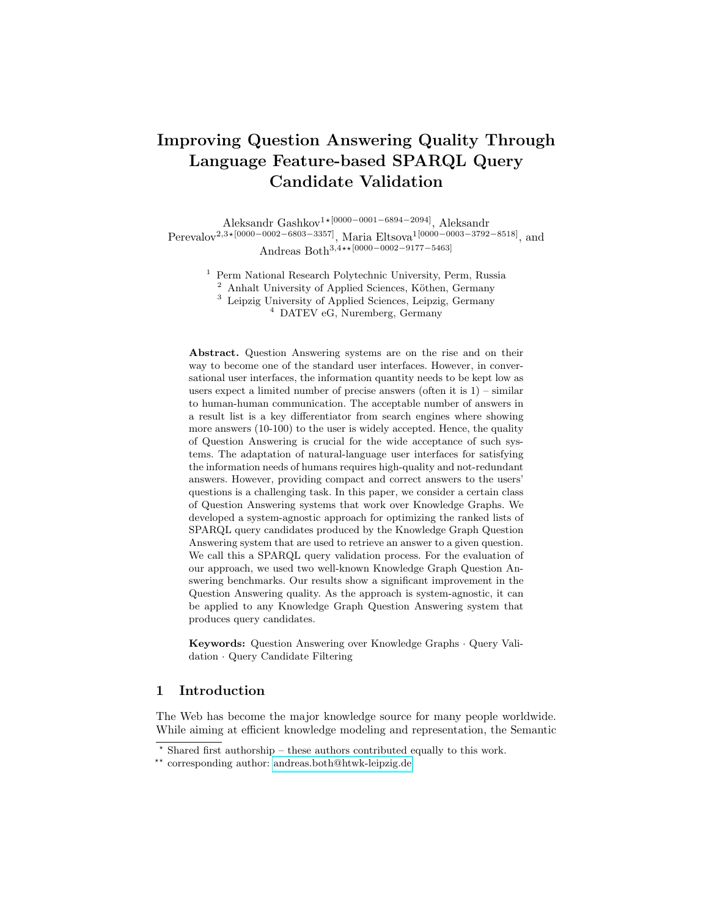# Improving Question Answering Quality Through Language Feature-based SPARQL Query Candidate Validation

Aleksandr Gashkov1?[0000−0001−6894−2094], Aleksandr  $Perevalov^{2,3*[0000-0002-6803-3357]},$  Maria Eltsova<sup>1[0000–0003–3792–8518]</sup>, and Andreas Both<sup>3,4\*\*</sup>[0000–0002−9177−5463]

<sup>1</sup> Perm National Research Polytechnic University, Perm, Russia

<sup>2</sup> Anhalt University of Applied Sciences, Köthen, Germany

<sup>3</sup> Leipzig University of Applied Sciences, Leipzig, Germany

<sup>4</sup> DATEV eG, Nuremberg, Germany

Abstract. Question Answering systems are on the rise and on their way to become one of the standard user interfaces. However, in conversational user interfaces, the information quantity needs to be kept low as users expect a limited number of precise answers (often it is  $1$ ) – similar to human-human communication. The acceptable number of answers in a result list is a key differentiator from search engines where showing more answers (10-100) to the user is widely accepted. Hence, the quality of Question Answering is crucial for the wide acceptance of such systems. The adaptation of natural-language user interfaces for satisfying the information needs of humans requires high-quality and not-redundant answers. However, providing compact and correct answers to the users' questions is a challenging task. In this paper, we consider a certain class of Question Answering systems that work over Knowledge Graphs. We developed a system-agnostic approach for optimizing the ranked lists of SPARQL query candidates produced by the Knowledge Graph Question Answering system that are used to retrieve an answer to a given question. We call this a SPARQL query validation process. For the evaluation of our approach, we used two well-known Knowledge Graph Question Answering benchmarks. Our results show a significant improvement in the Question Answering quality. As the approach is system-agnostic, it can be applied to any Knowledge Graph Question Answering system that produces query candidates.

Keywords: Question Answering over Knowledge Graphs · Query Validation · Query Candidate Filtering

## <span id="page-0-0"></span>1 Introduction

The Web has become the major knowledge source for many people worldwide. While aiming at efficient knowledge modeling and representation, the Semantic

<sup>?</sup> Shared first authorship – these authors contributed equally to this work.

<sup>\*\*</sup> corresponding author: [andreas.both@htwk-leipzig.de](mailto:andreas.both@htwk-leipzig.de)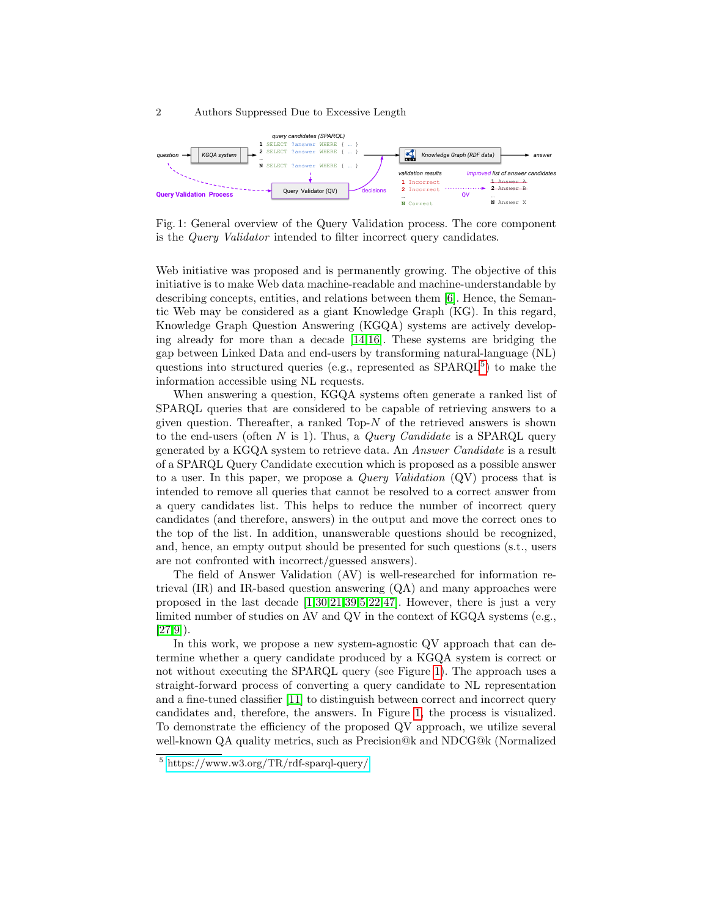<span id="page-1-1"></span>

Fig. 1: General overview of the Query Validation process. The core component is the Query Validator intended to filter incorrect query candidates.

Web initiative was proposed and is permanently growing. The objective of this initiative is to make Web data machine-readable and machine-understandable by describing concepts, entities, and relations between them [\[6\]](#page-15-0). Hence, the Semantic Web may be considered as a giant Knowledge Graph (KG). In this regard, Knowledge Graph Question Answering (KGQA) systems are actively developing already for more than a decade [\[14,](#page-15-1)[16\]](#page-16-0). These systems are bridging the gap between Linked Data and end-users by transforming natural-language (NL) questions into structured queries (e.g., represented as SPARQL<sup>[5](#page-1-0)</sup>) to make the information accessible using NL requests.

When answering a question, KGQA systems often generate a ranked list of SPARQL queries that are considered to be capable of retrieving answers to a given question. Thereafter, a ranked Top-N of the retrieved answers is shown to the end-users (often N is 1). Thus, a *Query Candidate* is a SPARQL query generated by a KGQA system to retrieve data. An Answer Candidate is a result of a SPARQL Query Candidate execution which is proposed as a possible answer to a user. In this paper, we propose a *Query Validation*  $(QV)$  process that is intended to remove all queries that cannot be resolved to a correct answer from a query candidates list. This helps to reduce the number of incorrect query candidates (and therefore, answers) in the output and move the correct ones to the top of the list. In addition, unanswerable questions should be recognized, and, hence, an empty output should be presented for such questions (s.t., users are not confronted with incorrect/guessed answers).

The field of Answer Validation (AV) is well-researched for information retrieval  $(IR)$  and IR-based question answering  $(QA)$  and many approaches were proposed in the last decade [\[1,](#page-15-2)[30,](#page-17-0)[21](#page-16-1)[,39,](#page-17-1)[5,](#page-15-3)[22](#page-16-2)[,47\]](#page-18-0). However, there is just a very limited number of studies on AV and QV in the context of KGQA systems (e.g.,  $[27,9]$  $[27,9]$ ).

In this work, we propose a new system-agnostic QV approach that can determine whether a query candidate produced by a KGQA system is correct or not without executing the SPARQL query (see Figure [1\)](#page-1-1). The approach uses a straight-forward process of converting a query candidate to NL representation and a fine-tuned classifier [\[11\]](#page-15-5) to distinguish between correct and incorrect query candidates and, therefore, the answers. In Figure [1,](#page-1-1) the process is visualized. To demonstrate the efficiency of the proposed QV approach, we utilize several well-known QA quality metrics, such as Precision@k and NDCG@k (Normalized

<span id="page-1-0"></span><sup>5</sup> <https://www.w3.org/TR/rdf-sparql-query/>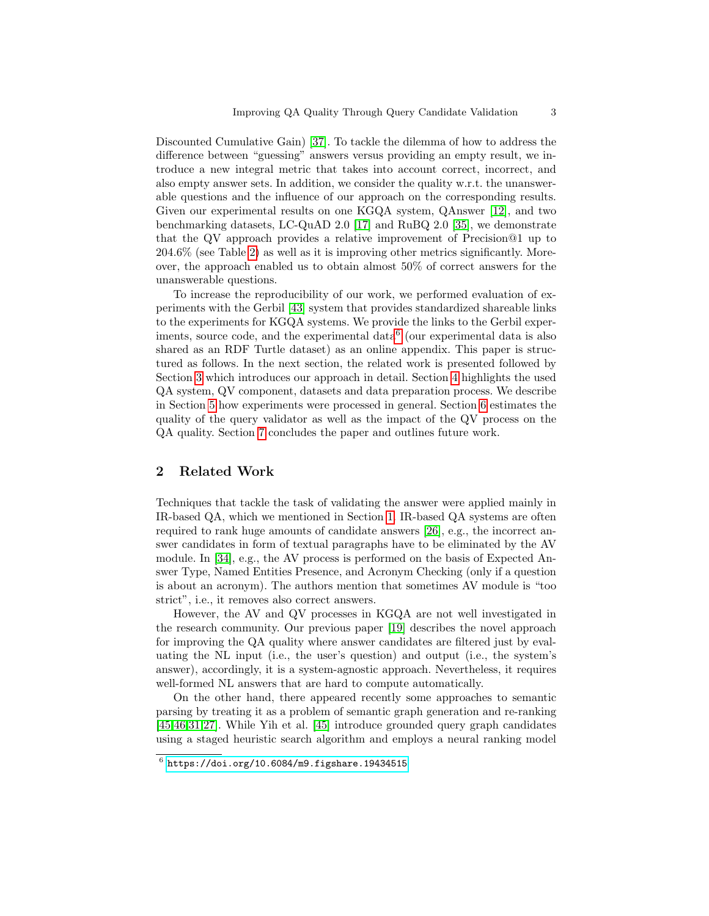Discounted Cumulative Gain) [\[37\]](#page-17-3). To tackle the dilemma of how to address the difference between "guessing" answers versus providing an empty result, we introduce a new integral metric that takes into account correct, incorrect, and also empty answer sets. In addition, we consider the quality w.r.t. the unanswerable questions and the influence of our approach on the corresponding results. Given our experimental results on one KGQA system, QAnswer [\[12\]](#page-15-6), and two benchmarking datasets, LC-QuAD 2.0 [\[17\]](#page-16-3) and RuBQ 2.0 [\[35\]](#page-17-4), we demonstrate that the QV approach provides a relative improvement of Precision@1 up to 204.6% (see Table [2\)](#page-10-0) as well as it is improving other metrics significantly. Moreover, the approach enabled us to obtain almost 50% of correct answers for the unanswerable questions.

To increase the reproducibility of our work, we performed evaluation of experiments with the Gerbil [\[43\]](#page-18-1) system that provides standardized shareable links to the experiments for KGQA systems. We provide the links to the Gerbil exper-iments, source code, and the experimental data<sup>[6](#page-2-0)</sup> (our experimental data is also shared as an RDF Turtle dataset) as an online appendix. This paper is structured as follows. In the next section, the related work is presented followed by Section [3](#page-3-0) which introduces our approach in detail. Section [4](#page-6-0) highlights the used QA system, QV component, datasets and data preparation process. We describe in Section [5](#page-9-0) how experiments were processed in general. Section [6](#page-9-1) estimates the quality of the query validator as well as the impact of the QV process on the QA quality. Section [7](#page-14-0) concludes the paper and outlines future work.

# 2 Related Work

Techniques that tackle the task of validating the answer were applied mainly in IR-based QA, which we mentioned in Section [1.](#page-0-0) IR-based QA systems are often required to rank huge amounts of candidate answers [\[26\]](#page-16-4), e.g., the incorrect answer candidates in form of textual paragraphs have to be eliminated by the AV module. In [\[34\]](#page-17-5), e.g., the AV process is performed on the basis of Expected Answer Type, Named Entities Presence, and Acronym Checking (only if a question is about an acronym). The authors mention that sometimes AV module is "too strict", i.e., it removes also correct answers.

However, the AV and QV processes in KGQA are not well investigated in the research community. Our previous paper [\[19\]](#page-16-5) describes the novel approach for improving the QA quality where answer candidates are filtered just by evaluating the NL input (i.e., the user's question) and output (i.e., the system's answer), accordingly, it is a system-agnostic approach. Nevertheless, it requires well-formed NL answers that are hard to compute automatically.

On the other hand, there appeared recently some approaches to semantic parsing by treating it as a problem of semantic graph generation and re-ranking [\[45](#page-18-2)[,46](#page-18-3)[,31,](#page-17-6)[27\]](#page-17-2). While Yih et al. [\[45\]](#page-18-2) introduce grounded query graph candidates using a staged heuristic search algorithm and employs a neural ranking model

<span id="page-2-0"></span> $^6$  <https://doi.org/10.6084/m9.figshare.19434515>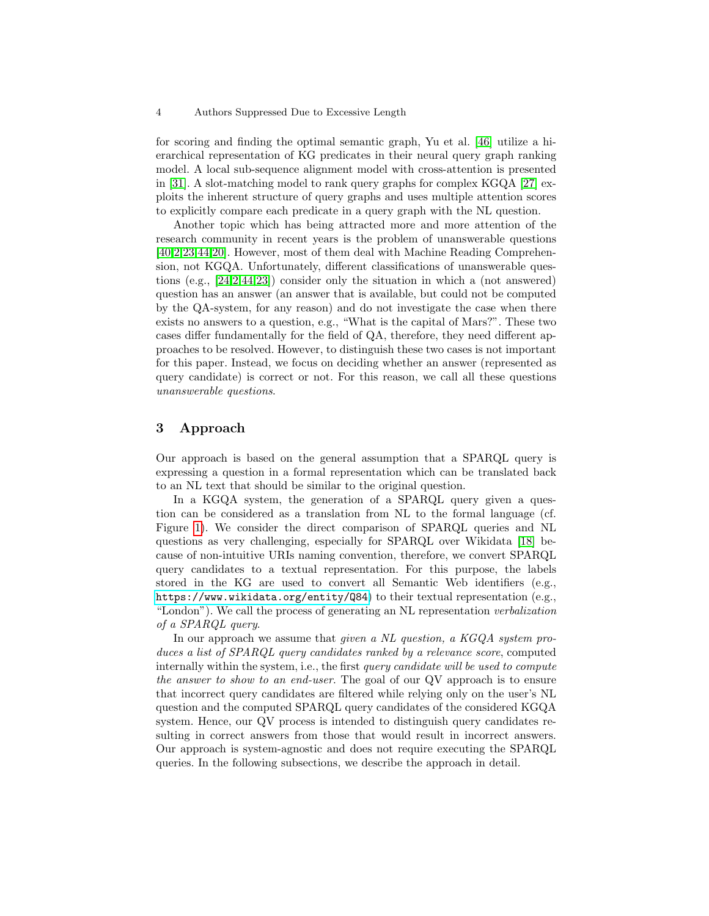for scoring and finding the optimal semantic graph, Yu et al. [\[46\]](#page-18-3) utilize a hierarchical representation of KG predicates in their neural query graph ranking model. A local sub-sequence alignment model with cross-attention is presented in [\[31\]](#page-17-6). A slot-matching model to rank query graphs for complex KGQA [\[27\]](#page-17-2) exploits the inherent structure of query graphs and uses multiple attention scores to explicitly compare each predicate in a query graph with the NL question.

Another topic which has being attracted more and more attention of the research community in recent years is the problem of unanswerable questions [\[40](#page-17-7)[,2](#page-15-7)[,23,](#page-16-6)[44](#page-18-4)[,20\]](#page-16-7). However, most of them deal with Machine Reading Comprehension, not KGQA. Unfortunately, different classifications of unanswerable questions (e.g.,  $[24,2,44,23]$  $[24,2,44,23]$  $[24,2,44,23]$  $[24,2,44,23]$ ) consider only the situation in which a (not answered) question has an answer (an answer that is available, but could not be computed by the QA-system, for any reason) and do not investigate the case when there exists no answers to a question, e.g., "What is the capital of Mars?". These two cases differ fundamentally for the field of QA, therefore, they need different approaches to be resolved. However, to distinguish these two cases is not important for this paper. Instead, we focus on deciding whether an answer (represented as query candidate) is correct or not. For this reason, we call all these questions unanswerable questions.

# <span id="page-3-0"></span>3 Approach

Our approach is based on the general assumption that a SPARQL query is expressing a question in a formal representation which can be translated back to an NL text that should be similar to the original question.

In a KGQA system, the generation of a SPARQL query given a question can be considered as a translation from NL to the formal language (cf. Figure [1\)](#page-1-1). We consider the direct comparison of SPARQL queries and NL questions as very challenging, especially for SPARQL over Wikidata [\[18\]](#page-16-9) because of non-intuitive URIs naming convention, therefore, we convert SPARQL query candidates to a textual representation. For this purpose, the labels stored in the KG are used to convert all Semantic Web identifiers (e.g., <https://www.wikidata.org/entity/Q84>) to their textual representation (e.g., "London"). We call the process of generating an NL representation verbalization of a SPARQL query.

In our approach we assume that *given a NL question, a KGQA system pro*duces a list of SPARQL query candidates ranked by a relevance score, computed internally within the system, i.e., the first *query candidate will be used to compute* the answer to show to an end-user. The goal of our QV approach is to ensure that incorrect query candidates are filtered while relying only on the user's NL question and the computed SPARQL query candidates of the considered KGQA system. Hence, our QV process is intended to distinguish query candidates resulting in correct answers from those that would result in incorrect answers. Our approach is system-agnostic and does not require executing the SPARQL queries. In the following subsections, we describe the approach in detail.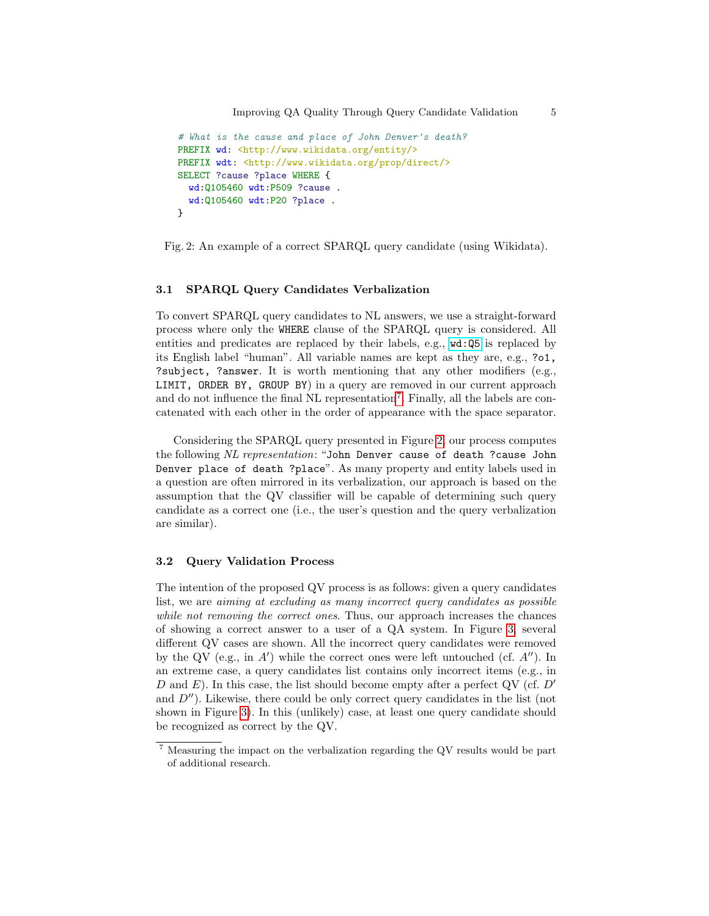```
# What is the cause and place of John Denver's death?
PREFIX wd: <http://www.wikidata.org/entity/>
PREFIX wdt: <http://www.wikidata.org/prop/direct/>
SELECT ?cause ?place WHERE {
 wd:Q105460 wdt:P509 ?cause .
 wd:Q105460 wdt:P20 ?place .
}
```
Fig. 2: An example of a correct SPARQL query candidate (using Wikidata).

#### <span id="page-4-2"></span>3.1 SPARQL Query Candidates Verbalization

To convert SPARQL query candidates to NL answers, we use a straight-forward process where only the WHERE clause of the SPARQL query is considered. All entities and predicates are replaced by their labels, e.g., [wd:Q5](http://www.wikidata.org/entity/Q5) is replaced by its English label "human". All variable names are kept as they are, e.g., ?o1, ?subject, ?answer. It is worth mentioning that any other modifiers (e.g., LIMIT, ORDER BY, GROUP BY) in a query are removed in our current approach and do not influence the final NL representation<sup>[7](#page-4-0)</sup>. Finally, all the labels are concatenated with each other in the order of appearance with the space separator.

Considering the SPARQL query presented in Figure [2,](#page-4-1) our process computes the following NL representation: "John Denver cause of death ?cause John Denver place of death ?place". As many property and entity labels used in a question are often mirrored in its verbalization, our approach is based on the assumption that the QV classifier will be capable of determining such query candidate as a correct one (i.e., the user's question and the query verbalization are similar).

### 3.2 Query Validation Process

The intention of the proposed QV process is as follows: given a query candidates list, we are aiming at excluding as many incorrect query candidates as possible while not removing the correct ones. Thus, our approach increases the chances of showing a correct answer to a user of a QA system. In Figure [3,](#page-5-0) several different QV cases are shown. All the incorrect query candidates were removed by the QV (e.g., in  $A'$ ) while the correct ones were left untouched (cf.  $A''$ ). In an extreme case, a query candidates list contains only incorrect items (e.g., in D and  $E$ ). In this case, the list should become empty after a perfect QV (cf.  $D'$ and  $D''$ ). Likewise, there could be only correct query candidates in the list (not shown in Figure [3\)](#page-5-0). In this (unlikely) case, at least one query candidate should be recognized as correct by the QV.

<span id="page-4-0"></span><sup>7</sup> Measuring the impact on the verbalization regarding the QV results would be part of additional research.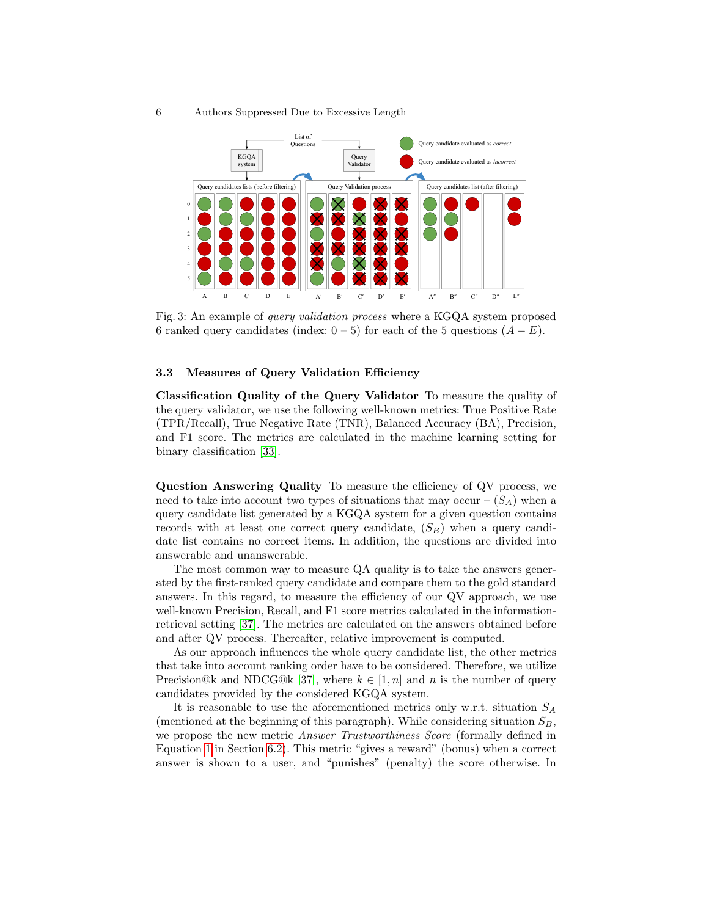<span id="page-5-0"></span>

Fig. 3: An example of query validation process where a KGQA system proposed 6 ranked query candidates (index:  $0 - 5$ ) for each of the 5 questions  $(A − E)$ .

## <span id="page-5-1"></span>3.3 Measures of Query Validation Efficiency

Classification Quality of the Query Validator To measure the quality of the query validator, we use the following well-known metrics: True Positive Rate (TPR/Recall), True Negative Rate (TNR), Balanced Accuracy (BA), Precision, and F1 score. The metrics are calculated in the machine learning setting for binary classification [\[33\]](#page-17-8).

Question Answering Quality To measure the efficiency of QV process, we need to take into account two types of situations that may occur –  $(S_A)$  when a query candidate list generated by a KGQA system for a given question contains records with at least one correct query candidate,  $(S_B)$  when a query candidate list contains no correct items. In addition, the questions are divided into answerable and unanswerable.

The most common way to measure QA quality is to take the answers generated by the first-ranked query candidate and compare them to the gold standard answers. In this regard, to measure the efficiency of our QV approach, we use well-known Precision, Recall, and F1 score metrics calculated in the informationretrieval setting [\[37\]](#page-17-3). The metrics are calculated on the answers obtained before and after QV process. Thereafter, relative improvement is computed.

As our approach influences the whole query candidate list, the other metrics that take into account ranking order have to be considered. Therefore, we utilize Precision@k and NDCG@k [\[37\]](#page-17-3), where  $k \in [1, n]$  and n is the number of query candidates provided by the considered KGQA system.

It is reasonable to use the aforementioned metrics only w.r.t. situation  $S_A$ (mentioned at the beginning of this paragraph). While considering situation  $S_B$ , we propose the new metric *Answer Trustworthiness Score* (formally defined in Equation [1](#page-12-0) in Section [6.2\)](#page-10-1). This metric "gives a reward" (bonus) when a correct answer is shown to a user, and "punishes" (penalty) the score otherwise. In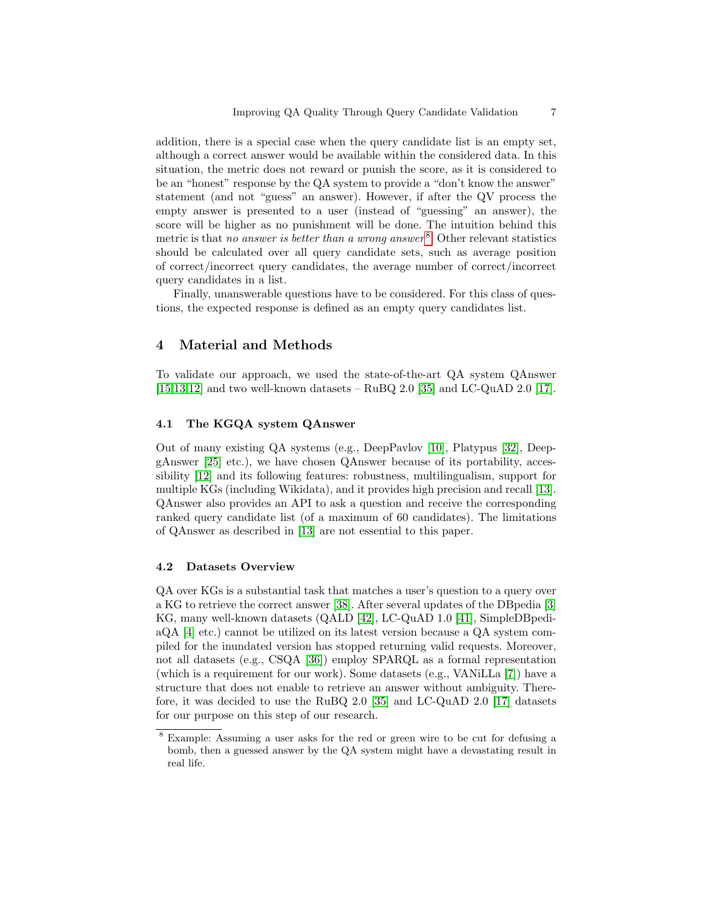addition, there is a special case when the query candidate list is an empty set, although a correct answer would be available within the considered data. In this situation, the metric does not reward or punish the score, as it is considered to be an "honest" response by the QA system to provide a "don't know the answer" statement (and not "guess" an answer). However, if after the QV process the empty answer is presented to a user (instead of "guessing" an answer), the score will be higher as no punishment will be done. The intuition behind this metric is that no answer is better than a wrong answer<sup>[8](#page-6-1)</sup>. Other relevant statistics should be calculated over all query candidate sets, such as average position of correct/incorrect query candidates, the average number of correct/incorrect query candidates in a list.

Finally, unanswerable questions have to be considered. For this class of questions, the expected response is defined as an empty query candidates list.

# <span id="page-6-0"></span>4 Material and Methods

To validate our approach, we used the state-of-the-art QA system QAnswer  $[15,13,12]$  $[15,13,12]$  $[15,13,12]$  and two well-known datasets – RuBQ 2.0 [\[35\]](#page-17-4) and LC-QuAD 2.0 [\[17\]](#page-16-3).

## 4.1 The KGQA system QAnswer

Out of many existing  $QA$  systems (e.g., DeepPavlov [\[10\]](#page-15-9), Platypus [\[32\]](#page-17-9), DeepgAnswer [\[25\]](#page-16-11) etc.), we have chosen QAnswer because of its portability, accessibility [\[12\]](#page-15-6) and its following features: robustness, multilingualism, support for multiple KGs (including Wikidata), and it provides high precision and recall [\[13\]](#page-15-8). QAnswer also provides an API to ask a question and receive the corresponding ranked query candidate list (of a maximum of 60 candidates). The limitations of QAnswer as described in [\[13\]](#page-15-8) are not essential to this paper.

#### 4.2 Datasets Overview

QA over KGs is a substantial task that matches a user's question to a query over a KG to retrieve the correct answer [\[38\]](#page-17-10). After several updates of the DBpedia [\[3\]](#page-15-10) KG, many well-known datasets (QALD [\[42\]](#page-18-5), LC-QuAD 1.0 [\[41\]](#page-17-11), SimpleDBpediaQA [\[4\]](#page-15-11) etc.) cannot be utilized on its latest version because a QA system compiled for the inundated version has stopped returning valid requests. Moreover, not all datasets (e.g., CSQA [\[36\]](#page-17-12)) employ SPARQL as a formal representation (which is a requirement for our work). Some datasets (e.g., VANiLLa [\[7\]](#page-15-12)) have a structure that does not enable to retrieve an answer without ambiguity. Therefore, it was decided to use the RuBQ 2.0 [\[35\]](#page-17-4) and LC-QuAD 2.0 [\[17\]](#page-16-3) datasets for our purpose on this step of our research.

<span id="page-6-1"></span><sup>8</sup> Example: Assuming a user asks for the red or green wire to be cut for defusing a bomb, then a guessed answer by the QA system might have a devastating result in real life.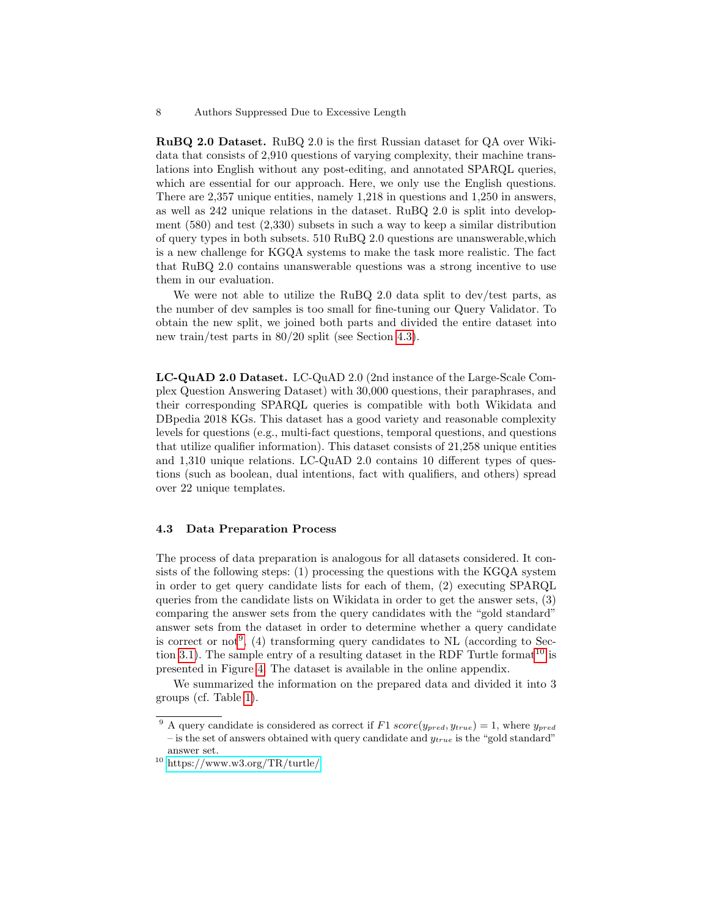RuBQ 2.0 Dataset. RuBQ 2.0 is the first Russian dataset for QA over Wikidata that consists of 2,910 questions of varying complexity, their machine translations into English without any post-editing, and annotated SPARQL queries, which are essential for our approach. Here, we only use the English questions. There are 2,357 unique entities, namely 1,218 in questions and 1,250 in answers, as well as 242 unique relations in the dataset. RuBQ 2.0 is split into development (580) and test (2,330) subsets in such a way to keep a similar distribution of query types in both subsets. 510 RuBQ 2.0 questions are unanswerable,which is a new challenge for KGQA systems to make the task more realistic. The fact that RuBQ 2.0 contains unanswerable questions was a strong incentive to use them in our evaluation.

We were not able to utilize the RuBQ 2.0 data split to dev/test parts, as the number of dev samples is too small for fine-tuning our Query Validator. To obtain the new split, we joined both parts and divided the entire dataset into new train/test parts in 80/20 split (see Section [4.3\)](#page-7-0).

LC-QuAD 2.0 Dataset. LC-QuAD 2.0 (2nd instance of the Large-Scale Complex Question Answering Dataset) with 30,000 questions, their paraphrases, and their corresponding SPARQL queries is compatible with both Wikidata and DBpedia 2018 KGs. This dataset has a good variety and reasonable complexity levels for questions (e.g., multi-fact questions, temporal questions, and questions that utilize qualifier information). This dataset consists of 21,258 unique entities and 1,310 unique relations. LC-QuAD 2.0 contains 10 different types of questions (such as boolean, dual intentions, fact with qualifiers, and others) spread over 22 unique templates.

## <span id="page-7-0"></span>4.3 Data Preparation Process

The process of data preparation is analogous for all datasets considered. It consists of the following steps: (1) processing the questions with the KGQA system in order to get query candidate lists for each of them, (2) executing SPARQL queries from the candidate lists on Wikidata in order to get the answer sets, (3) comparing the answer sets from the query candidates with the "gold standard" answer sets from the dataset in order to determine whether a query candidate is correct or not<sup>[9](#page-7-1)</sup>, (4) transforming query candidates to NL (according to Sec-tion [3.1\)](#page-4-2). The sample entry of a resulting dataset in the RDF Turtle format<sup>[10](#page-7-2)</sup> is presented in Figure [4.](#page-8-0) The dataset is available in the online appendix.

We summarized the information on the prepared data and divided it into 3 groups (cf. Table [1\)](#page-8-1).

<span id="page-7-1"></span><sup>&</sup>lt;sup>9</sup> A query candidate is considered as correct if F1 score( $y_{pred}, y_{true}$ ) = 1, where  $y_{pred}$ – is the set of answers obtained with query candidate and  $y_{true}$  is the "gold standard" answer set.

<span id="page-7-2"></span><sup>10</sup> <https://www.w3.org/TR/turtle/>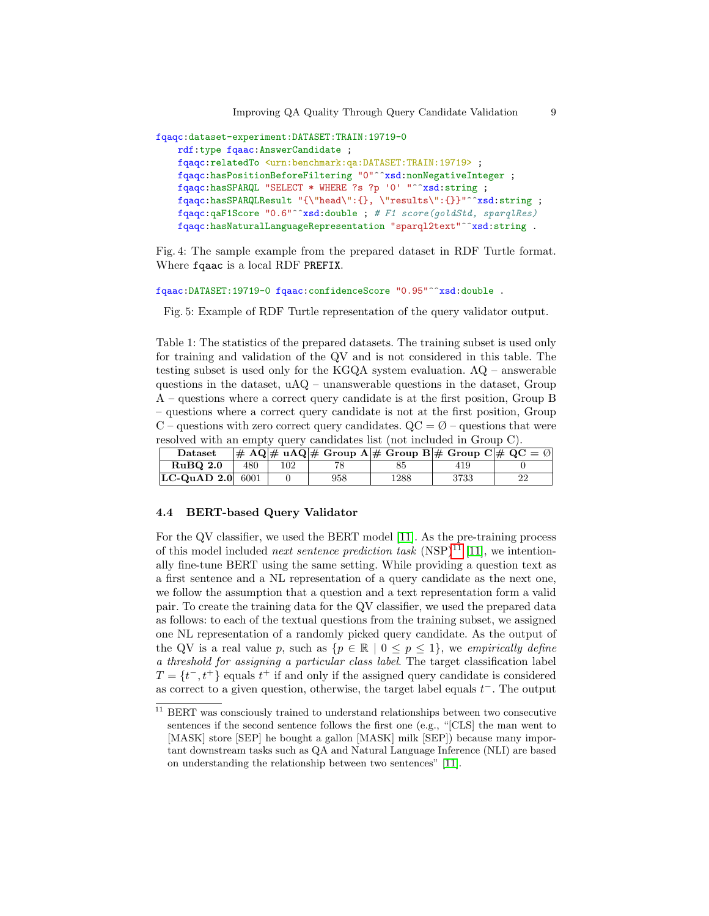```
fqaqc:dataset-experiment:DATASET:TRAIN:19719-0
    rdf:type fqaac:AnswerCandidate ;
    fqaqc:relatedTo <urn:benchmark:qa:DATASET:TRAIN:19719> ;
    fqaqc:hasPositionBeforeFiltering "0"^^xsd:nonNegativeInteger ;
    fqaqc:hasSPARQL "SELECT * WHERE ?s ?p '0' "^^xsd:string ;
    fqaqc:hasSPARQLResult "{\"head\":{}, \"results\":{}}"^^xsd:string ;
    fqaqc:qaF1Score "0.6"^^xsd:double ; # F1 score(goldStd, sparqlRes)
    fqaqc:hasNaturalLanguageRepresentation "sparql2text"^^xsd:string .
```
Fig. 4: The sample example from the prepared dataset in RDF Turtle format. Where fqaac is a local RDF PREFIX.

<span id="page-8-3"></span>fqaac:DATASET:19719-0 fqaac:confidenceScore "0.95"^^xsd:double .

<span id="page-8-1"></span>Fig. 5: Example of RDF Turtle representation of the query validator output.

Table 1: The statistics of the prepared datasets. The training subset is used only for training and validation of the QV and is not considered in this table. The testing subset is used only for the KGQA system evaluation. AQ – answerable questions in the dataset,  $\mu\text{AQ}$  – unanswerable questions in the dataset, Group A – questions where a correct query candidate is at the first position, Group B – questions where a correct query candidate is not at the first position, Group C – questions with zero correct query candidates.  $QC = \emptyset$  – questions that were resolved with an empty query candidates list (not included in Group C).

| Dataset                     |     |     | $\ket{\text{# }AQ\text{# }uAQ\text{# }G$ roup $A\ket{\text{# }G}$ roup $B\ket{\text{# }G}$ roup $C\ket{\text{# }QC}=\emptyset$ |      |      |    |
|-----------------------------|-----|-----|--------------------------------------------------------------------------------------------------------------------------------|------|------|----|
| RuBO <sub>2.0</sub>         | 480 | 102 |                                                                                                                                |      | 419  |    |
| $ LC\text{-}QuAD 2.0  6001$ |     |     | 958                                                                                                                            | 1288 | 3733 | 22 |

#### 4.4 BERT-based Query Validator

For the QV classifier, we used the BERT model [\[11\]](#page-15-5). As the pre-training process of this model included *next sentence prediction task* (NSP)<sup>[11](#page-8-2)</sup> [\[11\]](#page-15-5), we intentionally fine-tune BERT using the same setting. While providing a question text as a first sentence and a NL representation of a query candidate as the next one, we follow the assumption that a question and a text representation form a valid pair. To create the training data for the QV classifier, we used the prepared data as follows: to each of the textual questions from the training subset, we assigned one NL representation of a randomly picked query candidate. As the output of the QV is a real value p, such as  $\{p \in \mathbb{R} \mid 0 \leq p \leq 1\}$ , we empirically define a threshold for assigning a particular class label. The target classification label  $T = \{t^-, t^+\}$  equals  $t^+$  if and only if the assigned query candidate is considered as correct to a given question, otherwise, the target label equals  $t^-$ . The output

<span id="page-8-2"></span> $^{11}$  BERT was consciously trained to understand relationships between two consecutive sentences if the second sentence follows the first one (e.g., "[CLS] the man went to [MASK] store [SEP] he bought a gallon [MASK] milk [SEP]) because many important downstream tasks such as QA and Natural Language Inference (NLI) are based on understanding the relationship between two sentences" [\[11\]](#page-15-5).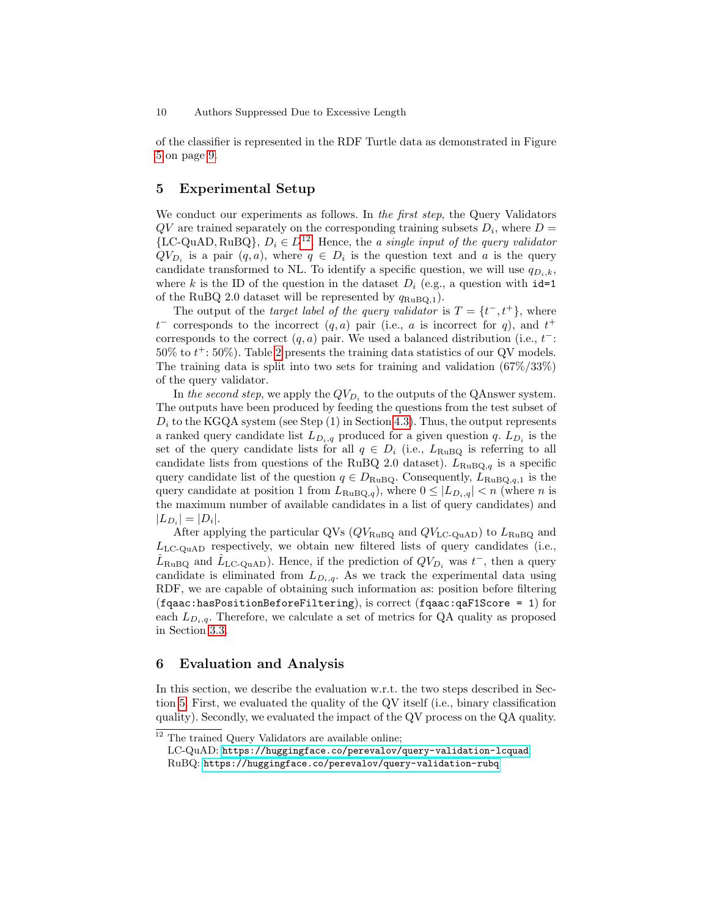of the classifier is represented in the RDF Turtle data as demonstrated in Figure [5](#page-8-3) on page [9.](#page-8-3)

# <span id="page-9-0"></span>5 Experimental Setup

We conduct our experiments as follows. In the first step, the Query Validators  $QV$  are trained separately on the corresponding training subsets  $D_i$ , where  $D =$  ${LC\text{-}QuAD, RuBQ}, D_i \in D^{12}$  ${LC\text{-}QuAD, RuBQ}, D_i \in D^{12}$  ${LC\text{-}QuAD, RuBQ}, D_i \in D^{12}$ . Hence, the a single input of the query validator  $QV_{D_i}$  is a pair  $(q, a)$ , where  $q \in D_i$  is the question text and a is the query candidate transformed to NL. To identify a specific question, we will use  $q_{D_i,k}$ , where k is the ID of the question in the dataset  $D_i$  (e.g., a question with  $id=1$ of the RuBQ 2.0 dataset will be represented by  $q_{\text{RuBQ},1}$ .

The output of the *target label of the query validator* is  $T = \{t^-, t^+\}$ , where  $t^-$  corresponds to the incorrect  $(q, a)$  pair (i.e., a is incorrect for q), and  $t^+$ corresponds to the correct  $(q, a)$  pair. We used a balanced distribution (i.e.,  $t^-$ :  $50\%$  to  $t^+$ :  $50\%$ ). Table [2](#page-10-0) presents the training data statistics of our QV models. The training data is split into two sets for training and validation  $(67\%/33\%)$ of the query validator.

In the second step, we apply the  $QV_{D_i}$  to the outputs of the QAnswer system. The outputs have been produced by feeding the questions from the test subset of  $D_i$  to the KGQA system (see Step (1) in Section [4.3\)](#page-7-0). Thus, the output represents a ranked query candidate list  $L_{D_i,q}$  produced for a given question q.  $L_{D_i}$  is the set of the query candidate lists for all  $q \in D_i$  (i.e.,  $L_{\text{RuBQ}}$  is referring to all candidate lists from questions of the RuBQ 2.0 dataset).  $L_{\text{RuBQ},q}$  is a specific query candidate list of the question  $q \in D_{\text{RuBQ}}$ . Consequently,  $L_{\text{RuBQ},q,1}$  is the query candidate at position 1 from  $L_{\text{RuBQ},q}$ ), where  $0 \leq |L_{D_i,q}| < n$  (where n is the maximum number of available candidates in a list of query candidates) and  $|L_{D_i}| = |D_i|.$ 

After applying the particular QVs ( $QV_{\text{RuBQ}}$  and  $QV_{\text{LC-QuAD}}$ ) to  $L_{\text{RuBQ}}$  and  $L_{\text{LC-QuAD}}$  respectively, we obtain new filtered lists of query candidates (i.e.,  $\hat{L}_{\text{RuBQ}}$  and  $\hat{L}_{\text{LC-QuAD}}$ ). Hence, if the prediction of  $QV_{D_i}$  was  $t^-$ , then a query candidate is eliminated from  $L_{D_i,q}$ . As we track the experimental data using RDF, we are capable of obtaining such information as: position before filtering (fqaac:hasPositionBeforeFiltering), is correct (fqaac:qaF1Score = 1) for each  $L_{D_i,q}$ . Therefore, we calculate a set of metrics for QA quality as proposed in Section [3.3.](#page-5-1)

# <span id="page-9-1"></span>6 Evaluation and Analysis

In this section, we describe the evaluation w.r.t. the two steps described in Section [5.](#page-9-0) First, we evaluated the quality of the QV itself (i.e., binary classification quality). Secondly, we evaluated the impact of the QV process on the QA quality.

<span id="page-9-2"></span> $12$  The trained Query Validators are available online;

LC-QuAD: <https://huggingface.co/perevalov/query-validation-lcquad>, RuBQ: <https://huggingface.co/perevalov/query-validation-rubq>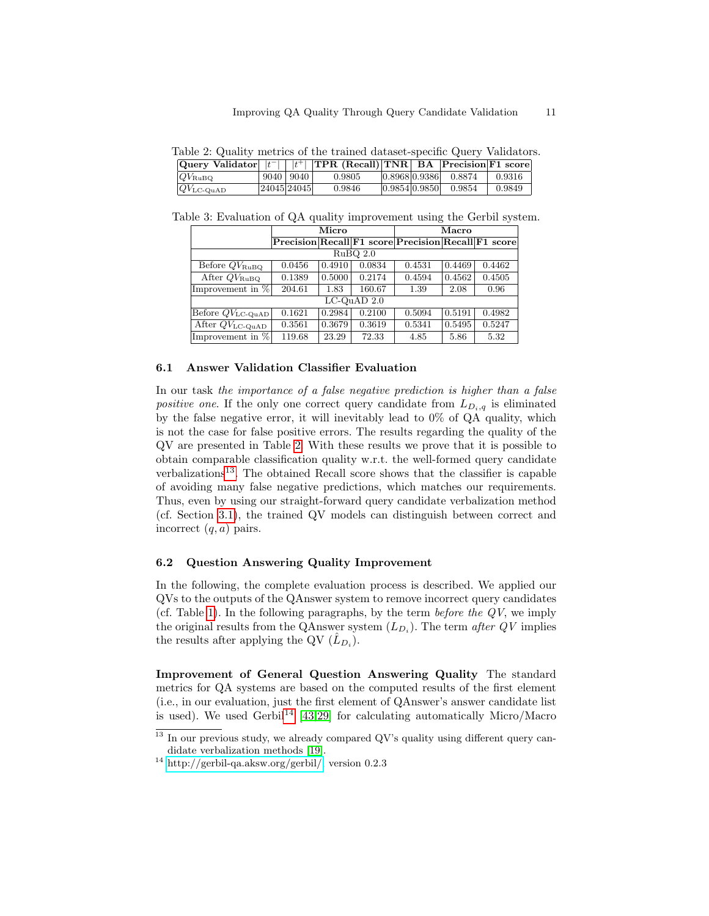<span id="page-10-0"></span>

| Table 2: Quality metrics of the trained dataset-specific Query Validators. |             |        |               |                            |        |  |
|----------------------------------------------------------------------------|-------------|--------|---------------|----------------------------|--------|--|
| Query Validator $ t^- $ $ t^+ $ TPR (Recall) TNR BA Precision F1 score     |             |        |               |                            |        |  |
| $ QV_{\rm RuBO} $                                                          | $9040$ 9040 | 0.9805 |               | $ 0.8968 0.9386 $ $0.8874$ | 0.9316 |  |
| $ QV_{\text{LC-QuAD}} $                                                    | 24045 24045 | 0.9846 | 0.9854 0.9850 | 0.9854                     | 0.9849 |  |

<span id="page-10-4"></span>Table 3: Evaluation of QA quality improvement using the Gerbil system.

|                              | Micro  |        |        | Macro                                               |        |        |
|------------------------------|--------|--------|--------|-----------------------------------------------------|--------|--------|
|                              |        |        |        | Precision Recall F1 score Precision Recall F1 score |        |        |
| RuBQ 2.0                     |        |        |        |                                                     |        |        |
| Before $QV_{\text{RuBQ}}$    | 0.0456 | 0.4910 | 0.0834 | 0.4531                                              | 0.4469 | 0.4462 |
| After $QV_{\text{RuBO}}$     | 0.1389 | 0.5000 | 0.2174 | 0.4594                                              | 0.4562 | 0.4505 |
| Improvement in $\%$          | 204.61 | 1.83   | 160.67 | 1.39                                                | 2.08   | 0.96   |
| $LC-QuAD 2.0$                |        |        |        |                                                     |        |        |
| Before $QV_{\text{LC-QuAD}}$ | 0.1621 | 0.2984 | 0.2100 | 0.5094                                              | 0.5191 | 0.4982 |
| After $QV_{\text{LC-QuAD}}$  | 0.3561 | 0.3679 | 0.3619 | 0.5341                                              | 0.5495 | 0.5247 |
| Improvement in $\%$          | 119.68 | 23.29  | 72.33  | 4.85                                                | 5.86   | 5.32   |

#### 6.1 Answer Validation Classifier Evaluation

In our task the importance of a false negative prediction is higher than a false positive one. If the only one correct query candidate from  $L_{D_i,q}$  is eliminated by the false negative error, it will inevitably lead to 0% of QA quality, which is not the case for false positive errors. The results regarding the quality of the QV are presented in Table [2.](#page-10-0) With these results we prove that it is possible to obtain comparable classification quality w.r.t. the well-formed query candidate  $verbalizations<sup>13</sup>$  $verbalizations<sup>13</sup>$  $verbalizations<sup>13</sup>$ . The obtained Recall score shows that the classifier is capable of avoiding many false negative predictions, which matches our requirements. Thus, even by using our straight-forward query candidate verbalization method (cf. Section [3.1\)](#page-4-2), the trained QV models can distinguish between correct and incorrect  $(q, a)$  pairs.

### <span id="page-10-1"></span>6.2 Question Answering Quality Improvement

In the following, the complete evaluation process is described. We applied our QVs to the outputs of the QAnswer system to remove incorrect query candidates (cf. Table [1\)](#page-8-1). In the following paragraphs, by the term *before the QV*, we imply the original results from the QAnswer system  $(L_{D_i})$ . The term *after QV* implies the results after applying the QV  $(\hat{L}_{D_i})$ .

Improvement of General Question Answering Quality The standard metrics for QA systems are based on the computed results of the first element (i.e., in our evaluation, just the first element of QAnswer's answer candidate list is used). We used Gerbil<sup>[14](#page-10-3)</sup> [\[43](#page-18-1)[,29\]](#page-17-13) for calculating automatically Micro/Macro

<span id="page-10-2"></span> $13$  In our previous study, we already compared QV's quality using different query candidate verbalization methods [\[19\]](#page-16-5).

<span id="page-10-3"></span><sup>&</sup>lt;sup>14</sup> [http://gerbil-qa.aksw.org/gerbil/,](http://gerbil-qa.aksw.org/gerbil/) version  $0.2.3$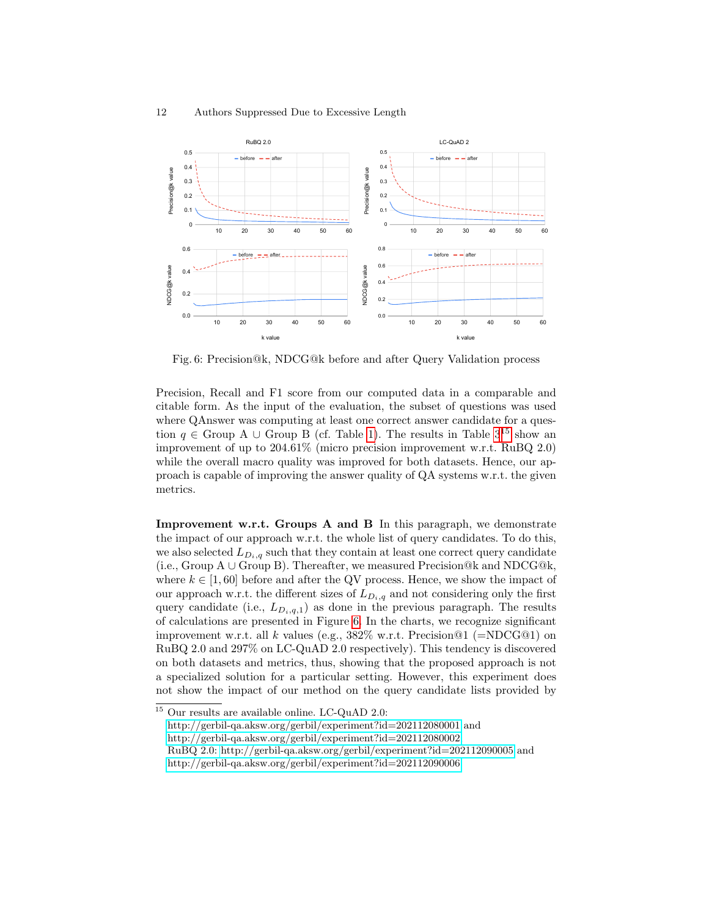<span id="page-11-1"></span>

Fig. 6: Precision@k, NDCG@k before and after Query Validation process

Precision, Recall and F1 score from our computed data in a comparable and citable form. As the input of the evaluation, the subset of questions was used where QAnswer was computing at least one correct answer candidate for a question  $q \in \text{Group A} \cup \text{Group B}$  (cf. Table [1\)](#page-8-1). The results in Table  $3^{15}$  $3^{15}$  $3^{15}$  show an improvement of up to 204.61% (micro precision improvement w.r.t. RuBQ 2.0) while the overall macro quality was improved for both datasets. Hence, our approach is capable of improving the answer quality of QA systems w.r.t. the given metrics.

Improvement w.r.t. Groups A and B In this paragraph, we demonstrate the impact of our approach w.r.t. the whole list of query candidates. To do this, we also selected  $L_{D_i,q}$  such that they contain at least one correct query candidate (i.e., Group A ∪ Group B). Thereafter, we measured Precision@k and NDCG@k, where  $k \in [1, 60]$  before and after the QV process. Hence, we show the impact of our approach w.r.t. the different sizes of  $L_{D_i,q}$  and not considering only the first query candidate (i.e.,  $L_{D_i,q,1}$ ) as done in the previous paragraph. The results of calculations are presented in Figure [6.](#page-11-1) In the charts, we recognize significant improvement w.r.t. all k values (e.g.,  $382\%$  w.r.t. Precision@1 (=NDCG@1) on RuBQ 2.0 and 297% on LC-QuAD 2.0 respectively). This tendency is discovered on both datasets and metrics, thus, showing that the proposed approach is not a specialized solution for a particular setting. However, this experiment does not show the impact of our method on the query candidate lists provided by

<span id="page-11-0"></span> $^{15}$  Our results are available online. LC-QuAD 2.0:

<http://gerbil-qa.aksw.org/gerbil/experiment?id=202112080001> and

[http://gerbil-qa.aksw.org/gerbil/experiment?id=202112080002;](http://gerbil-qa.aksw.org/gerbil/experiment?id=202112080002)

RuBQ 2.0:<http://gerbil-qa.aksw.org/gerbil/experiment?id=202112090005> and

[http://gerbil-qa.aksw.org/gerbil/experiment?id=202112090006.](http://gerbil-qa.aksw.org/gerbil/experiment?id=202112090006)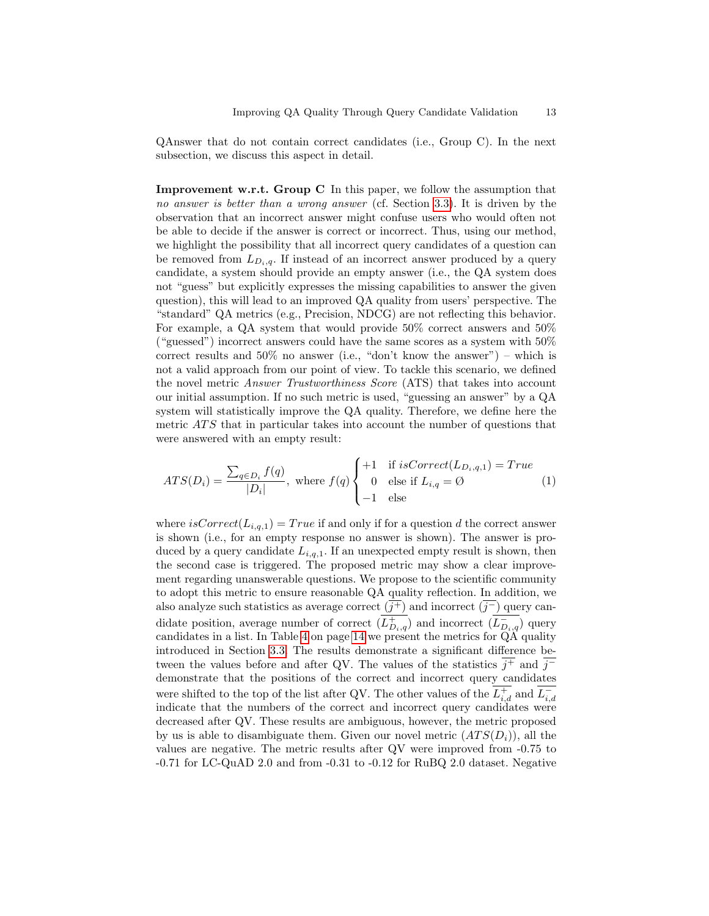QAnswer that do not contain correct candidates (i.e., Group C). In the next subsection, we discuss this aspect in detail.

Improvement w.r.t. Group C In this paper, we follow the assumption that no answer is better than a wrong answer (cf. Section [3.3\)](#page-5-1). It is driven by the observation that an incorrect answer might confuse users who would often not be able to decide if the answer is correct or incorrect. Thus, using our method, we highlight the possibility that all incorrect query candidates of a question can be removed from  $L_{D_i,q}$ . If instead of an incorrect answer produced by a query candidate, a system should provide an empty answer (i.e., the QA system does not "guess" but explicitly expresses the missing capabilities to answer the given question), this will lead to an improved QA quality from users' perspective. The "standard" QA metrics (e.g., Precision, NDCG) are not reflecting this behavior. For example, a QA system that would provide 50% correct answers and 50% ("guessed") incorrect answers could have the same scores as a system with 50% correct results and  $50\%$  no answer (i.e., "don't know the answer") – which is not a valid approach from our point of view. To tackle this scenario, we defined the novel metric Answer Trustworthiness Score (ATS) that takes into account our initial assumption. If no such metric is used, "guessing an answer" by a QA system will statistically improve the QA quality. Therefore, we define here the metric  $ATS$  that in particular takes into account the number of questions that were answered with an empty result:

<span id="page-12-0"></span>
$$
ATS(D_i) = \frac{\sum_{q \in D_i} f(q)}{|D_i|}, \text{ where } f(q) \begin{cases} +1 & \text{if } isCorrect(L_{D_i,q,1}) = True \\ 0 & \text{else if } L_{i,q} = \emptyset \\ -1 & \text{else} \end{cases} \tag{1}
$$

where  $isCorrect(L_{i,q,1}) = True$  if and only if for a question d the correct answer is shown (i.e., for an empty response no answer is shown). The answer is produced by a query candidate  $L_{i,q,1}$ . If an unexpected empty result is shown, then the second case is triggered. The proposed metric may show a clear improvement regarding unanswerable questions. We propose to the scientific community to adopt this metric to ensure reasonable QA quality reflection. In addition, we also analyze such statistics as average correct  $(j^+)$  and incorrect  $(j^-)$  query candidate position, average number of correct  $(\overline{L_{D_i,q}^+})$  and incorrect  $(\overline{L_{D_i,q}^-})$  query candidates in a list. In Table [4](#page-13-0) on page [14](#page-13-0) we present the metrics for QA quality introduced in Section [3.3.](#page-5-1) The results demonstrate a significant difference between the values before and after QV. The values of the statistics  $\overline{j^+}$  and  $\overline{j^-}$ demonstrate that the positions of the correct and incorrect query candidates were shifted to the top of the list after QV. The other values of the  $\overline{L_{i,d}^+}$  and  $\overline{L_{i,d}^-}$ indicate that the numbers of the correct and incorrect query candidates were decreased after QV. These results are ambiguous, however, the metric proposed by us is able to disambiguate them. Given our novel metric  $(ATS(D_i))$ , all the values are negative. The metric results after QV were improved from -0.75 to -0.71 for LC-QuAD 2.0 and from -0.31 to -0.12 for RuBQ 2.0 dataset. Negative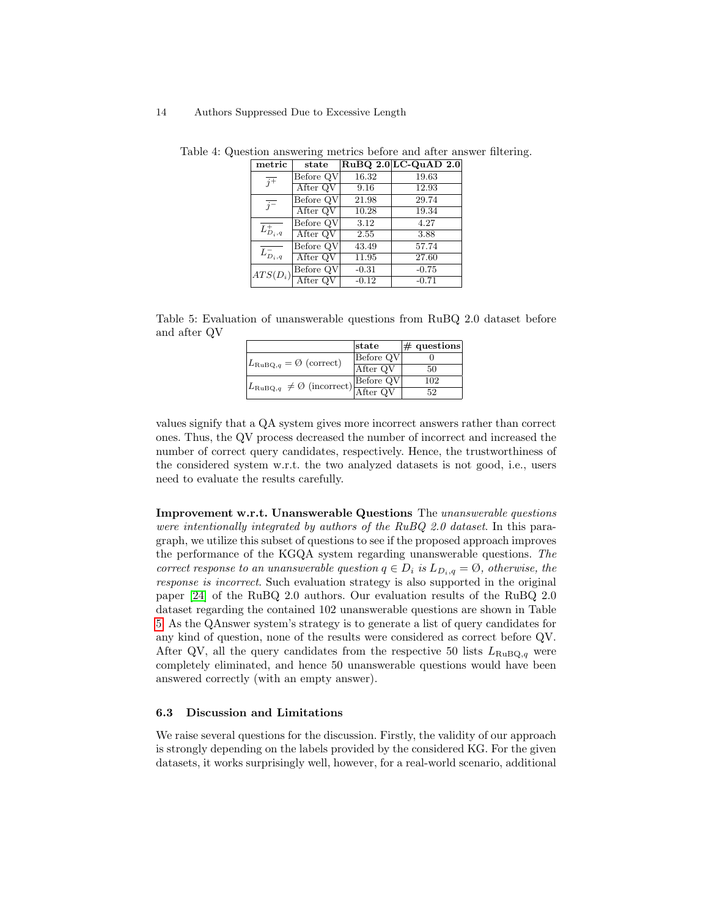| metric           | state     |         | $\rm RuBQ 2.0   \overline{LC}$ -QuAD 2.0 |
|------------------|-----------|---------|------------------------------------------|
| $\overline{i^+}$ | Before QV | 16.32   | 19.63                                    |
|                  | After QV  | 9.16    | 12.93                                    |
| $\overline{i}$   | Before QV | 21.98   | 29.74                                    |
|                  | After QV  | 10.28   | 19.34                                    |
| $L_{D_i,q}^+$    | Before QV | 3.12    | 4.27                                     |
|                  | After QV  | 2.55    | 3.88                                     |
| $L_{D_i,q}^-$    | Before QV | 43.49   | 57.74                                    |
|                  | After QV  | 11.95   | 27.60                                    |
| $ATS(D_i)$       | Before QV | $-0.31$ | $-0.75$                                  |
|                  | After QV  | $-0.12$ | $-0.71$                                  |

<span id="page-13-0"></span>Table 4: Question answering metrics before and after answer filtering.

<span id="page-13-1"></span>Table 5: Evaluation of unanswerable questions from RuBQ 2.0 dataset before and after QV

|                                                                                                                       | state     | $#$ questions |
|-----------------------------------------------------------------------------------------------------------------------|-----------|---------------|
| $ L_{\text{RuBQ},q} = \emptyset$ (correct)                                                                            | Before QV |               |
|                                                                                                                       | After QV  | 50            |
| $ L_{\rm RuBQ,q}  \neq \text{\o}({\rm incorrect}) \vert \frac{\rm p_{\rm CLOLO}}{\rm After~QV} \vert \label{eq:2.10}$ | Before QV | 102           |
|                                                                                                                       |           | 52            |

values signify that a QA system gives more incorrect answers rather than correct ones. Thus, the QV process decreased the number of incorrect and increased the number of correct query candidates, respectively. Hence, the trustworthiness of the considered system w.r.t. the two analyzed datasets is not good, i.e., users need to evaluate the results carefully.

Improvement w.r.t. Unanswerable Questions The unanswerable questions were intentionally integrated by authors of the RuBQ 2.0 dataset. In this paragraph, we utilize this subset of questions to see if the proposed approach improves the performance of the KGQA system regarding unanswerable questions. The correct response to an unanswerable question  $q \in D_i$  is  $L_{D_i,q} = \emptyset$ , otherwise, the response is incorrect. Such evaluation strategy is also supported in the original paper [\[24\]](#page-16-8) of the RuBQ 2.0 authors. Our evaluation results of the RuBQ 2.0 dataset regarding the contained 102 unanswerable questions are shown in Table [5.](#page-13-1) As the QAnswer system's strategy is to generate a list of query candidates for any kind of question, none of the results were considered as correct before QV. After QV, all the query candidates from the respective 50 lists  $L_{\text{RuBQ},q}$  were completely eliminated, and hence 50 unanswerable questions would have been answered correctly (with an empty answer).

## 6.3 Discussion and Limitations

We raise several questions for the discussion. Firstly, the validity of our approach is strongly depending on the labels provided by the considered KG. For the given datasets, it works surprisingly well, however, for a real-world scenario, additional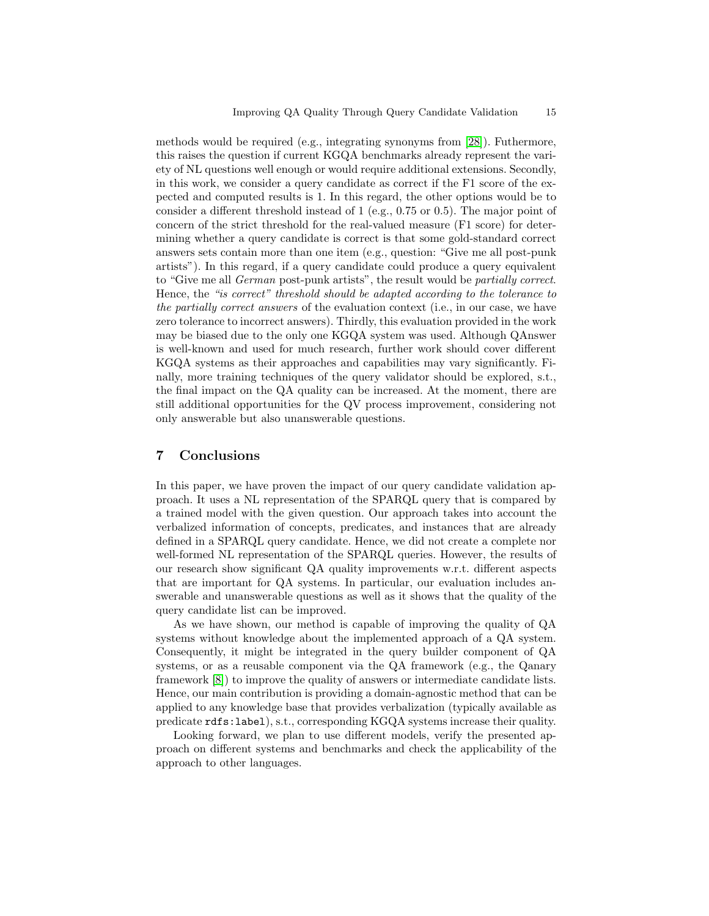methods would be required (e.g., integrating synonyms from [\[28\]](#page-17-14)). Futhermore, this raises the question if current KGQA benchmarks already represent the variety of NL questions well enough or would require additional extensions. Secondly, in this work, we consider a query candidate as correct if the F1 score of the expected and computed results is 1. In this regard, the other options would be to consider a different threshold instead of 1 (e.g., 0.75 or 0.5). The major point of concern of the strict threshold for the real-valued measure (F1 score) for determining whether a query candidate is correct is that some gold-standard correct answers sets contain more than one item (e.g., question: "Give me all post-punk artists"). In this regard, if a query candidate could produce a query equivalent to "Give me all German post-punk artists", the result would be partially correct. Hence, the "is correct" threshold should be adapted according to the tolerance to the partially correct answers of the evaluation context (i.e., in our case, we have zero tolerance to incorrect answers). Thirdly, this evaluation provided in the work may be biased due to the only one KGQA system was used. Although QAnswer is well-known and used for much research, further work should cover different KGQA systems as their approaches and capabilities may vary significantly. Finally, more training techniques of the query validator should be explored, s.t., the final impact on the QA quality can be increased. At the moment, there are still additional opportunities for the QV process improvement, considering not only answerable but also unanswerable questions.

## <span id="page-14-0"></span>7 Conclusions

In this paper, we have proven the impact of our query candidate validation approach. It uses a NL representation of the SPARQL query that is compared by a trained model with the given question. Our approach takes into account the verbalized information of concepts, predicates, and instances that are already defined in a SPARQL query candidate. Hence, we did not create a complete nor well-formed NL representation of the SPARQL queries. However, the results of our research show significant QA quality improvements w.r.t. different aspects that are important for QA systems. In particular, our evaluation includes answerable and unanswerable questions as well as it shows that the quality of the query candidate list can be improved.

As we have shown, our method is capable of improving the quality of QA systems without knowledge about the implemented approach of a QA system. Consequently, it might be integrated in the query builder component of QA systems, or as a reusable component via the QA framework (e.g., the Qanary framework [\[8\]](#page-15-13)) to improve the quality of answers or intermediate candidate lists. Hence, our main contribution is providing a domain-agnostic method that can be applied to any knowledge base that provides verbalization (typically available as predicate rdfs:label), s.t., corresponding KGQA systems increase their quality.

Looking forward, we plan to use different models, verify the presented approach on different systems and benchmarks and check the applicability of the approach to other languages.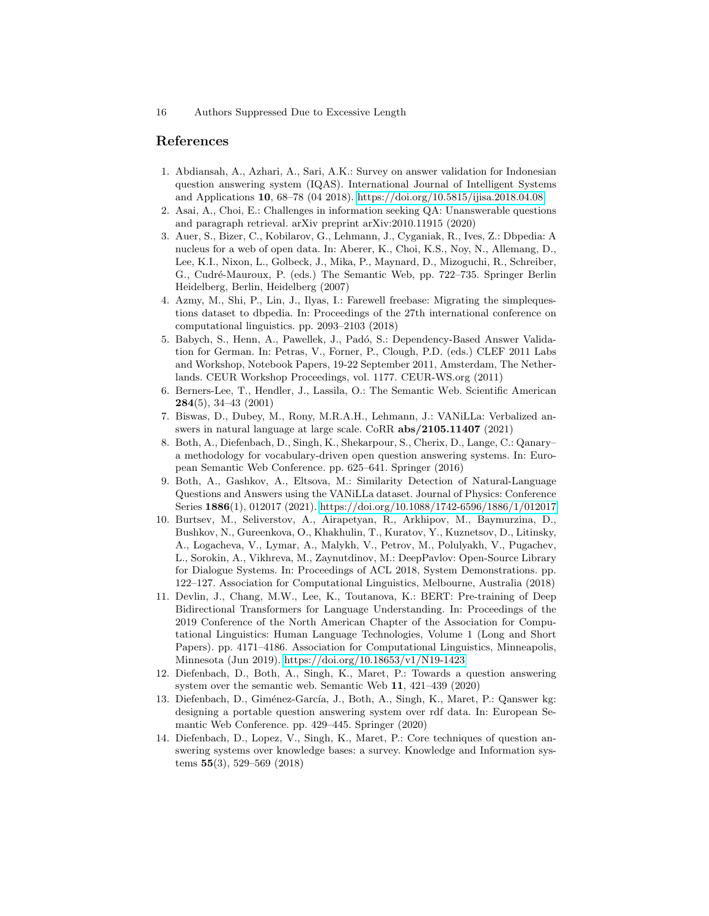# References

- <span id="page-15-2"></span>1. Abdiansah, A., Azhari, A., Sari, A.K.: Survey on answer validation for Indonesian question answering system (IQAS). International Journal of Intelligent Systems and Applications 10, 68–78 (04 2018).<https://doi.org/10.5815/ijisa.2018.04.08>
- <span id="page-15-7"></span>2. Asai, A., Choi, E.: Challenges in information seeking QA: Unanswerable questions and paragraph retrieval. arXiv preprint arXiv:2010.11915 (2020)
- <span id="page-15-10"></span>3. Auer, S., Bizer, C., Kobilarov, G., Lehmann, J., Cyganiak, R., Ives, Z.: Dbpedia: A nucleus for a web of open data. In: Aberer, K., Choi, K.S., Noy, N., Allemang, D., Lee, K.I., Nixon, L., Golbeck, J., Mika, P., Maynard, D., Mizoguchi, R., Schreiber, G., Cudré-Mauroux, P. (eds.) The Semantic Web, pp. 722–735. Springer Berlin Heidelberg, Berlin, Heidelberg (2007)
- <span id="page-15-11"></span>4. Azmy, M., Shi, P., Lin, J., Ilyas, I.: Farewell freebase: Migrating the simplequestions dataset to dbpedia. In: Proceedings of the 27th international conference on computational linguistics. pp. 2093–2103 (2018)
- <span id="page-15-3"></span>5. Babych, S., Henn, A., Pawellek, J., Pad´o, S.: Dependency-Based Answer Validation for German. In: Petras, V., Forner, P., Clough, P.D. (eds.) CLEF 2011 Labs and Workshop, Notebook Papers, 19-22 September 2011, Amsterdam, The Netherlands. CEUR Workshop Proceedings, vol. 1177. CEUR-WS.org (2011)
- <span id="page-15-0"></span>6. Berners-Lee, T., Hendler, J., Lassila, O.: The Semantic Web. Scientific American 284(5), 34–43 (2001)
- <span id="page-15-12"></span>7. Biswas, D., Dubey, M., Rony, M.R.A.H., Lehmann, J.: VANiLLa: Verbalized answers in natural language at large scale. CoRR abs/2105.11407 (2021)
- <span id="page-15-13"></span>8. Both, A., Diefenbach, D., Singh, K., Shekarpour, S., Cherix, D., Lange, C.: Qanary– a methodology for vocabulary-driven open question answering systems. In: European Semantic Web Conference. pp. 625–641. Springer (2016)
- <span id="page-15-4"></span>9. Both, A., Gashkov, A., Eltsova, M.: Similarity Detection of Natural-Language Questions and Answers using the VANiLLa dataset. Journal of Physics: Conference Series 1886(1), 012017 (2021).<https://doi.org/10.1088/1742-6596/1886/1/012017>
- <span id="page-15-9"></span>10. Burtsev, M., Seliverstov, A., Airapetyan, R., Arkhipov, M., Baymurzina, D., Bushkov, N., Gureenkova, O., Khakhulin, T., Kuratov, Y., Kuznetsov, D., Litinsky, A., Logacheva, V., Lymar, A., Malykh, V., Petrov, M., Polulyakh, V., Pugachev, L., Sorokin, A., Vikhreva, M., Zaynutdinov, M.: DeepPavlov: Open-Source Library for Dialogue Systems. In: Proceedings of ACL 2018, System Demonstrations. pp. 122–127. Association for Computational Linguistics, Melbourne, Australia (2018)
- <span id="page-15-5"></span>11. Devlin, J., Chang, M.W., Lee, K., Toutanova, K.: BERT: Pre-training of Deep Bidirectional Transformers for Language Understanding. In: Proceedings of the 2019 Conference of the North American Chapter of the Association for Computational Linguistics: Human Language Technologies, Volume 1 (Long and Short Papers). pp. 4171–4186. Association for Computational Linguistics, Minneapolis, Minnesota (Jun 2019).<https://doi.org/10.18653/v1/N19-1423>
- <span id="page-15-6"></span>12. Diefenbach, D., Both, A., Singh, K., Maret, P.: Towards a question answering system over the semantic web. Semantic Web 11, 421–439 (2020)
- <span id="page-15-8"></span>13. Diefenbach, D., Giménez-García, J., Both, A., Singh, K., Maret, P.: Qanswer kg: designing a portable question answering system over rdf data. In: European Semantic Web Conference. pp. 429–445. Springer (2020)
- <span id="page-15-1"></span>14. Diefenbach, D., Lopez, V., Singh, K., Maret, P.: Core techniques of question answering systems over knowledge bases: a survey. Knowledge and Information systems 55(3), 529–569 (2018)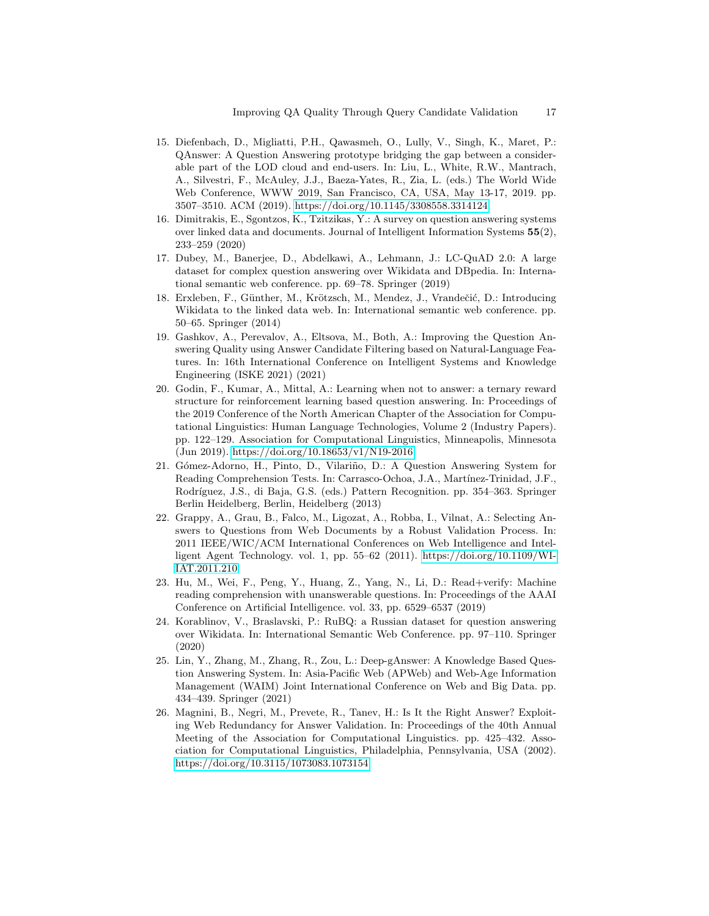- <span id="page-16-10"></span>15. Diefenbach, D., Migliatti, P.H., Qawasmeh, O., Lully, V., Singh, K., Maret, P.: QAnswer: A Question Answering prototype bridging the gap between a considerable part of the LOD cloud and end-users. In: Liu, L., White, R.W., Mantrach, A., Silvestri, F., McAuley, J.J., Baeza-Yates, R., Zia, L. (eds.) The World Wide Web Conference, WWW 2019, San Francisco, CA, USA, May 13-17, 2019. pp. 3507–3510. ACM (2019).<https://doi.org/10.1145/3308558.3314124>
- <span id="page-16-0"></span>16. Dimitrakis, E., Sgontzos, K., Tzitzikas, Y.: A survey on question answering systems over linked data and documents. Journal of Intelligent Information Systems 55(2), 233–259 (2020)
- <span id="page-16-3"></span>17. Dubey, M., Banerjee, D., Abdelkawi, A., Lehmann, J.: LC-QuAD 2.0: A large dataset for complex question answering over Wikidata and DBpedia. In: International semantic web conference. pp. 69–78. Springer (2019)
- <span id="page-16-9"></span>18. Erxleben, F., Günther, M., Krötzsch, M., Mendez, J., Vrandečić, D.: Introducing Wikidata to the linked data web. In: International semantic web conference. pp. 50–65. Springer (2014)
- <span id="page-16-5"></span>19. Gashkov, A., Perevalov, A., Eltsova, M., Both, A.: Improving the Question Answering Quality using Answer Candidate Filtering based on Natural-Language Features. In: 16th International Conference on Intelligent Systems and Knowledge Engineering (ISKE 2021) (2021)
- <span id="page-16-7"></span>20. Godin, F., Kumar, A., Mittal, A.: Learning when not to answer: a ternary reward structure for reinforcement learning based question answering. In: Proceedings of the 2019 Conference of the North American Chapter of the Association for Computational Linguistics: Human Language Technologies, Volume 2 (Industry Papers). pp. 122–129. Association for Computational Linguistics, Minneapolis, Minnesota (Jun 2019).<https://doi.org/10.18653/v1/N19-2016>
- <span id="page-16-1"></span>21. Gómez-Adorno, H., Pinto, D., Vilariño, D.: A Question Answering System for Reading Comprehension Tests. In: Carrasco-Ochoa, J.A., Martínez-Trinidad, J.F., Rodríguez, J.S., di Baja, G.S. (eds.) Pattern Recognition. pp. 354–363. Springer Berlin Heidelberg, Berlin, Heidelberg (2013)
- <span id="page-16-2"></span>22. Grappy, A., Grau, B., Falco, M., Ligozat, A., Robba, I., Vilnat, A.: Selecting Answers to Questions from Web Documents by a Robust Validation Process. In: 2011 IEEE/WIC/ACM International Conferences on Web Intelligence and Intelligent Agent Technology. vol. 1, pp. 55–62 (2011). [https://doi.org/10.1109/WI-](https://doi.org/10.1109/WI-IAT.2011.210)[IAT.2011.210](https://doi.org/10.1109/WI-IAT.2011.210)
- <span id="page-16-6"></span>23. Hu, M., Wei, F., Peng, Y., Huang, Z., Yang, N., Li, D.: Read+verify: Machine reading comprehension with unanswerable questions. In: Proceedings of the AAAI Conference on Artificial Intelligence. vol. 33, pp. 6529–6537 (2019)
- <span id="page-16-8"></span>24. Korablinov, V., Braslavski, P.: RuBQ: a Russian dataset for question answering over Wikidata. In: International Semantic Web Conference. pp. 97–110. Springer (2020)
- <span id="page-16-11"></span>25. Lin, Y., Zhang, M., Zhang, R., Zou, L.: Deep-gAnswer: A Knowledge Based Question Answering System. In: Asia-Pacific Web (APWeb) and Web-Age Information Management (WAIM) Joint International Conference on Web and Big Data. pp. 434–439. Springer (2021)
- <span id="page-16-4"></span>26. Magnini, B., Negri, M., Prevete, R., Tanev, H.: Is It the Right Answer? Exploiting Web Redundancy for Answer Validation. In: Proceedings of the 40th Annual Meeting of the Association for Computational Linguistics. pp. 425–432. Association for Computational Linguistics, Philadelphia, Pennsylvania, USA (2002). <https://doi.org/10.3115/1073083.1073154>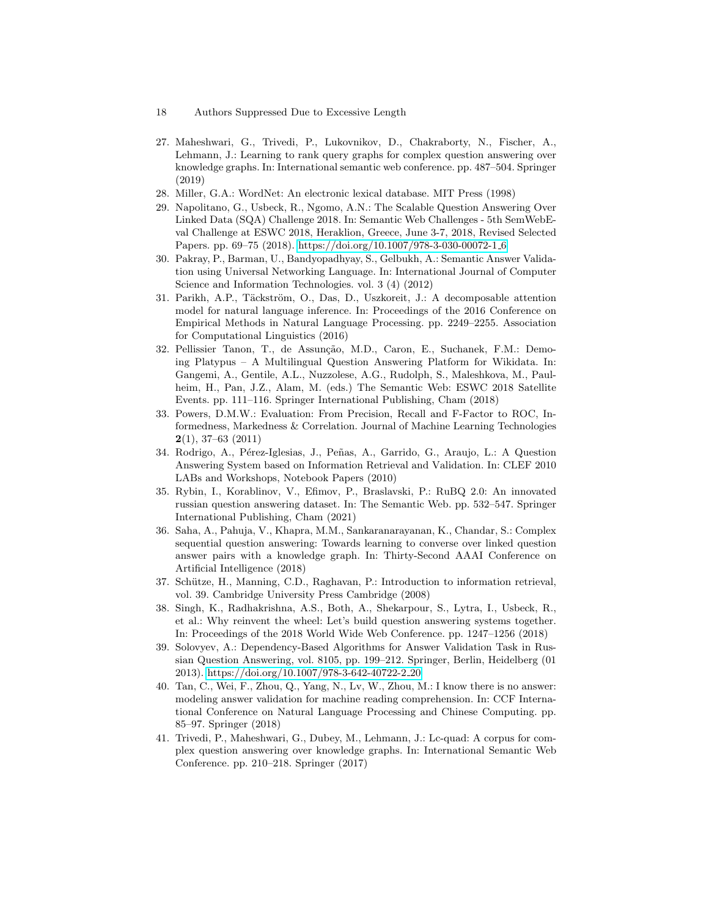- 18 Authors Suppressed Due to Excessive Length
- <span id="page-17-2"></span>27. Maheshwari, G., Trivedi, P., Lukovnikov, D., Chakraborty, N., Fischer, A., Lehmann, J.: Learning to rank query graphs for complex question answering over knowledge graphs. In: International semantic web conference. pp. 487–504. Springer (2019)
- <span id="page-17-14"></span>28. Miller, G.A.: WordNet: An electronic lexical database. MIT Press (1998)
- <span id="page-17-13"></span>29. Napolitano, G., Usbeck, R., Ngomo, A.N.: The Scalable Question Answering Over Linked Data (SQA) Challenge 2018. In: Semantic Web Challenges - 5th SemWebEval Challenge at ESWC 2018, Heraklion, Greece, June 3-7, 2018, Revised Selected Papers. pp. 69–75 (2018). [https://doi.org/10.1007/978-3-030-00072-1](https://doi.org/10.1007/978-3-030-00072-1_6) 6
- <span id="page-17-0"></span>30. Pakray, P., Barman, U., Bandyopadhyay, S., Gelbukh, A.: Semantic Answer Validation using Universal Networking Language. In: International Journal of Computer Science and Information Technologies. vol. 3 (4) (2012)
- <span id="page-17-6"></span>31. Parikh, A.P., Täckström, O., Das, D., Uszkoreit, J.: A decomposable attention model for natural language inference. In: Proceedings of the 2016 Conference on Empirical Methods in Natural Language Processing. pp. 2249–2255. Association for Computational Linguistics (2016)
- <span id="page-17-9"></span>32. Pellissier Tanon, T., de Assunção, M.D., Caron, E., Suchanek, F.M.: Demoing Platypus – A Multilingual Question Answering Platform for Wikidata. In: Gangemi, A., Gentile, A.L., Nuzzolese, A.G., Rudolph, S., Maleshkova, M., Paulheim, H., Pan, J.Z., Alam, M. (eds.) The Semantic Web: ESWC 2018 Satellite Events. pp. 111–116. Springer International Publishing, Cham (2018)
- <span id="page-17-8"></span>33. Powers, D.M.W.: Evaluation: From Precision, Recall and F-Factor to ROC, Informedness, Markedness & Correlation. Journal of Machine Learning Technologies  $2(1), 37-63 (2011)$
- <span id="page-17-5"></span>34. Rodrigo, A., Pérez-Iglesias, J., Peñas, A., Garrido, G., Araujo, L.: A Question Answering System based on Information Retrieval and Validation. In: CLEF 2010 LABs and Workshops, Notebook Papers (2010)
- <span id="page-17-4"></span>35. Rybin, I., Korablinov, V., Efimov, P., Braslavski, P.: RuBQ 2.0: An innovated russian question answering dataset. In: The Semantic Web. pp. 532–547. Springer International Publishing, Cham (2021)
- <span id="page-17-12"></span>36. Saha, A., Pahuja, V., Khapra, M.M., Sankaranarayanan, K., Chandar, S.: Complex sequential question answering: Towards learning to converse over linked question answer pairs with a knowledge graph. In: Thirty-Second AAAI Conference on Artificial Intelligence (2018)
- <span id="page-17-3"></span>37. Schütze, H., Manning, C.D., Raghavan, P.: Introduction to information retrieval, vol. 39. Cambridge University Press Cambridge (2008)
- <span id="page-17-10"></span>38. Singh, K., Radhakrishna, A.S., Both, A., Shekarpour, S., Lytra, I., Usbeck, R., et al.: Why reinvent the wheel: Let's build question answering systems together. In: Proceedings of the 2018 World Wide Web Conference. pp. 1247–1256 (2018)
- <span id="page-17-1"></span>39. Solovyev, A.: Dependency-Based Algorithms for Answer Validation Task in Russian Question Answering, vol. 8105, pp. 199–212. Springer, Berlin, Heidelberg (01 2013). [https://doi.org/10.1007/978-3-642-40722-2](https://doi.org/10.1007/978-3-642-40722-2_20) 20
- <span id="page-17-7"></span>40. Tan, C., Wei, F., Zhou, Q., Yang, N., Lv, W., Zhou, M.: I know there is no answer: modeling answer validation for machine reading comprehension. In: CCF International Conference on Natural Language Processing and Chinese Computing. pp. 85–97. Springer (2018)
- <span id="page-17-11"></span>41. Trivedi, P., Maheshwari, G., Dubey, M., Lehmann, J.: Lc-quad: A corpus for complex question answering over knowledge graphs. In: International Semantic Web Conference. pp. 210–218. Springer (2017)